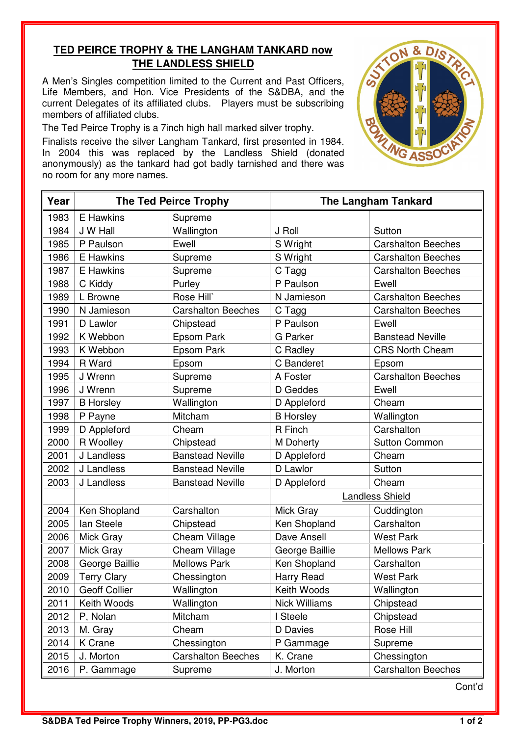## **TED PEIRCE TROPHY & THE LANGHAM TANKARD now THE LANDLESS SHIELD**

A Men's Singles competition limited to the Current and Past Officers, Life Members, and Hon. Vice Presidents of the S&DBA, and the current Delegates of its affiliated clubs. Players must be subscribing members of affiliated clubs.

The Ted Peirce Trophy is a 7inch high hall marked silver trophy.

Finalists receive the silver Langham Tankard, first presented in 1984. In 2004 this was replaced by the Landless Shield (donated anonymously) as the tankard had got badly tarnished and there was no room for any more names.

| Year | <b>The Ted Peirce Trophy</b> |                           | <b>The Langham Tankard</b> |                           |
|------|------------------------------|---------------------------|----------------------------|---------------------------|
| 1983 | E Hawkins                    | Supreme                   |                            |                           |
| 1984 | J W Hall                     | Wallington                | J Roll                     | Sutton                    |
| 1985 | P Paulson                    | Ewell                     | S Wright                   | <b>Carshalton Beeches</b> |
| 1986 | E Hawkins                    | Supreme                   | S Wright                   | <b>Carshalton Beeches</b> |
| 1987 | E Hawkins                    | Supreme                   | C Tagg                     | <b>Carshalton Beeches</b> |
| 1988 | C Kiddy                      | Purley                    | P Paulson                  | Ewell                     |
| 1989 | L Browne                     | Rose Hill`                | N Jamieson                 | <b>Carshalton Beeches</b> |
| 1990 | N Jamieson                   | <b>Carshalton Beeches</b> | C Tagg                     | <b>Carshalton Beeches</b> |
| 1991 | D Lawlor                     | Chipstead                 | P Paulson                  | Ewell                     |
| 1992 | K Webbon                     | Epsom Park                | <b>G</b> Parker            | <b>Banstead Neville</b>   |
| 1993 | K Webbon                     | Epsom Park                | C Radley                   | <b>CRS North Cheam</b>    |
| 1994 | R Ward                       | Epsom                     | C Banderet                 | Epsom                     |
| 1995 | J Wrenn                      | Supreme                   | A Foster                   | <b>Carshalton Beeches</b> |
| 1996 | J Wrenn                      | Supreme                   | D Geddes                   | Ewell                     |
| 1997 | <b>B</b> Horsley             | Wallington                | D Appleford                | Cheam                     |
| 1998 | P Payne                      | Mitcham                   | <b>B</b> Horsley           | Wallington                |
| 1999 | D Appleford                  | Cheam                     | R Finch                    | Carshalton                |
| 2000 | R Woolley                    | Chipstead                 | M Doherty                  | <b>Sutton Common</b>      |
| 2001 | J Landless                   | <b>Banstead Neville</b>   | D Appleford                | Cheam                     |
| 2002 | J Landless                   | <b>Banstead Neville</b>   | D Lawlor                   | Sutton                    |
| 2003 | J Landless                   | <b>Banstead Neville</b>   | D Appleford                | Cheam                     |
|      |                              |                           | <b>Landless Shield</b>     |                           |
| 2004 | Ken Shopland                 | Carshalton                | Mick Gray                  | Cuddington                |
| 2005 | lan Steele                   | Chipstead                 | Ken Shopland               | Carshalton                |
| 2006 | Mick Gray                    | Cheam Village             | Dave Ansell                | <b>West Park</b>          |
| 2007 | Mick Gray                    | Cheam Village             | George Baillie             | <b>Mellows Park</b>       |
| 2008 | George Baillie               | <b>Mellows Park</b>       | Ken Shopland               | Carshalton                |
| 2009 | <b>Terry Clary</b>           | Chessington               | Harry Read                 | <b>West Park</b>          |
| 2010 | <b>Geoff Collier</b>         | Wallington                | Keith Woods                | Wallington                |
| 2011 | Keith Woods                  | Wallington                | <b>Nick Williams</b>       | Chipstead                 |
| 2012 | P, Nolan                     | Mitcham                   | I Steele                   | Chipstead                 |
| 2013 | M. Gray                      | Cheam                     | D Davies                   | Rose Hill                 |
| 2014 | K Crane                      | Chessington               | P Gammage                  | Supreme                   |
| 2015 | J. Morton                    | <b>Carshalton Beeches</b> | K. Crane                   | Chessington               |
| 2016 | P. Gammage                   | Supreme                   | J. Morton                  | <b>Carshalton Beeches</b> |

Cont'd